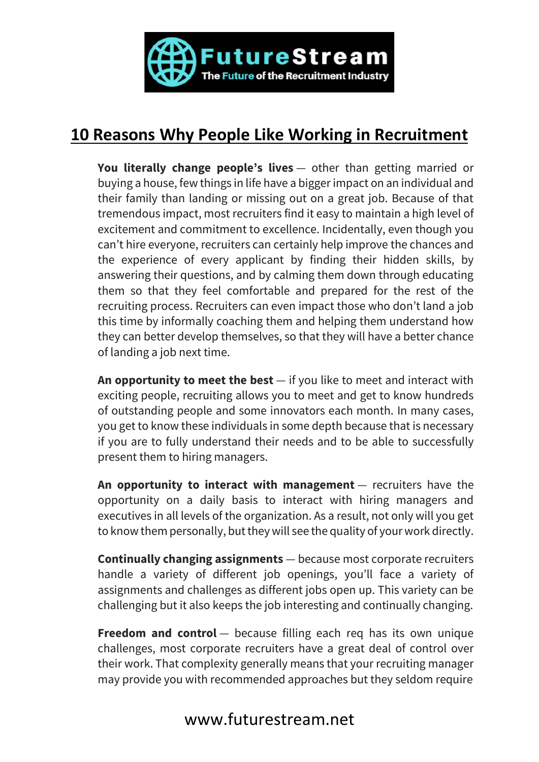

## **10 Reasons Why People Like Working in Recruitment**

**You literally change people's lives** — other than getting married or buying a house, few things in life have a bigger impact on an individual and their family than landing or missing out on a great job. Because of that tremendous impact, most recruiters find it easy to maintain a high level of excitement and commitment to excellence. Incidentally, even though you can't hire everyone, recruiters can certainly help improve the chances and the experience of every applicant by finding their hidden skills, by answering their questions, and by calming them down through educating them so that they feel comfortable and prepared for the rest of the recruiting process. Recruiters can even impact those who don't land a job this time by informally coaching them and helping them understand how they can better develop themselves, so that they will have a better chance of landing a job next time.

**An opportunity to meet the best** — if you like to meet and interact with exciting people, recruiting allows you to meet and get to know hundreds of outstanding people and some innovators each month. In many cases, you get to know these individuals in some depth because that is necessary if you are to fully understand their needs and to be able to successfully present them to hiring managers.

**An opportunity to interact with management** — recruiters have the opportunity on a daily basis to interact with hiring managers and executives in all levels of the organization. As a result, not only will you get to know them personally, but they will see the quality of your work directly.

**Continually changing assignments** — because most corporate recruiters handle a variety of different job openings, you'll face a variety of assignments and challenges as different jobs open up. This variety can be challenging but it also keeps the job interesting and continually changing.

**Freedom and control** — because filling each req has its own unique challenges, most corporate recruiters have a great deal of control over their work. That complexity generally means that your recruiting manager may provide you with recommended approaches but they seldom require

## www.futurestream.net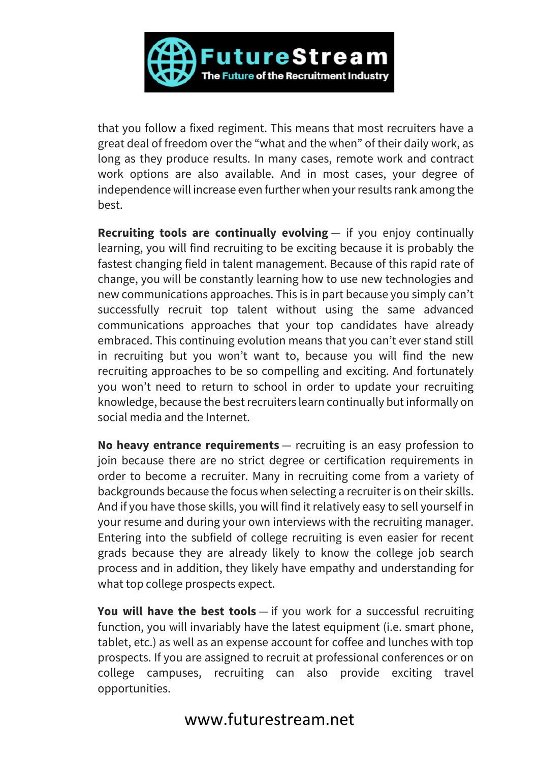

that you follow a fixed regiment. This means that most recruiters have a great deal of freedom over the "what and the when" of their daily work, as long as they produce results. In many cases, remote work and contract work options are also available. And in most cases, your degree of independence will increase even further when your results rank among the best.

**Recruiting tools are continually evolving** — if you enjoy continually learning, you will find recruiting to be exciting because it is probably the fastest changing field in talent management. Because of this rapid rate of change, you will be constantly learning how to use new technologies and new communications approaches. This is in part because you simply can't successfully recruit top talent without using the same advanced communications approaches that your top candidates have already embraced. This continuing evolution means that you can't ever stand still in recruiting but you won't want to, because you will find the new recruiting approaches to be so compelling and exciting. And fortunately you won't need to return to school in order to update your recruiting knowledge, because the best recruiters learn continually but informally on social media and the Internet.

**No heavy entrance requirements** — recruiting is an easy profession to join because there are no strict degree or certification requirements in order to become a recruiter. Many in recruiting come from a variety of backgrounds because the focus when selecting a recruiter is on their skills. And if you have those skills, you will find it relatively easy to sell yourself in your resume and during your own interviews with the recruiting manager. Entering into the subfield of college recruiting is even easier for recent grads because they are already likely to know the college job search process and in addition, they likely have empathy and understanding for what top college prospects expect.

**You will have the best tools** — if you work for a successful recruiting function, you will invariably have the latest equipment (i.e. smart phone, tablet, etc.) as well as an expense account for coffee and lunches with top prospects. If you are assigned to recruit at professional conferences or on college campuses, recruiting can also provide exciting travel opportunities.

## www.futurestream.net